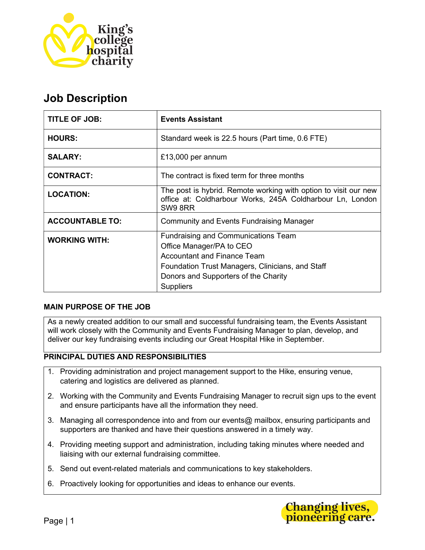

# Job Description

| <b>TITLE OF JOB:</b>   | <b>Events Assistant</b>                                                                                                                                                                                                      |
|------------------------|------------------------------------------------------------------------------------------------------------------------------------------------------------------------------------------------------------------------------|
| <b>HOURS:</b>          | Standard week is 22.5 hours (Part time, 0.6 FTE)                                                                                                                                                                             |
| <b>SALARY:</b>         | £13,000 per annum                                                                                                                                                                                                            |
| <b>CONTRACT:</b>       | The contract is fixed term for three months                                                                                                                                                                                  |
| <b>LOCATION:</b>       | The post is hybrid. Remote working with option to visit our new<br>office at: Coldharbour Works, 245A Coldharbour Ln, London<br>SW9 8RR                                                                                      |
| <b>ACCOUNTABLE TO:</b> | <b>Community and Events Fundraising Manager</b>                                                                                                                                                                              |
| <b>WORKING WITH:</b>   | <b>Fundraising and Communications Team</b><br>Office Manager/PA to CEO<br><b>Accountant and Finance Team</b><br>Foundation Trust Managers, Clinicians, and Staff<br>Donors and Supporters of the Charity<br><b>Suppliers</b> |

# MAIN PURPOSE OF THE JOB

As a newly created addition to our small and successful fundraising team, the Events Assistant will work closely with the Community and Events Fundraising Manager to plan, develop, and deliver our key fundraising events including our Great Hospital Hike in September.

# PRINCIPAL DUTIES AND RESPONSIBILITIES

- 1. Providing administration and project management support to the Hike, ensuring venue, catering and logistics are delivered as planned.
- 2. Working with the Community and Events Fundraising Manager to recruit sign ups to the event and ensure participants have all the information they need.
- 3. Managing all correspondence into and from our events@ mailbox, ensuring participants and supporters are thanked and have their questions answered in a timely way.
- 4. Providing meeting support and administration, including taking minutes where needed and liaising with our external fundraising committee.
- 5. Send out event-related materials and communications to key stakeholders.
- 6. Proactively looking for opportunities and ideas to enhance our events.

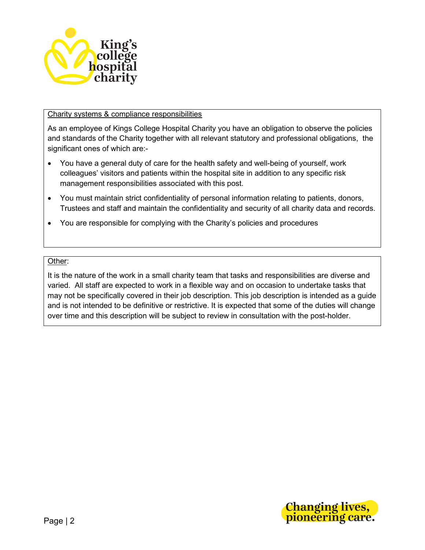

## Charity systems & compliance responsibilities

As an employee of Kings College Hospital Charity you have an obligation to observe the policies and standards of the Charity together with all relevant statutory and professional obligations, the significant ones of which are:-

- You have a general duty of care for the health safety and well-being of yourself, work colleagues' visitors and patients within the hospital site in addition to any specific risk management responsibilities associated with this post.
- You must maintain strict confidentiality of personal information relating to patients, donors, Trustees and staff and maintain the confidentiality and security of all charity data and records.
- You are responsible for complying with the Charity's policies and procedures

#### Other:

It is the nature of the work in a small charity team that tasks and responsibilities are diverse and varied. All staff are expected to work in a flexible way and on occasion to undertake tasks that may not be specifically covered in their job description. This job description is intended as a guide and is not intended to be definitive or restrictive. It is expected that some of the duties will change over time and this description will be subject to review in consultation with the post-holder.